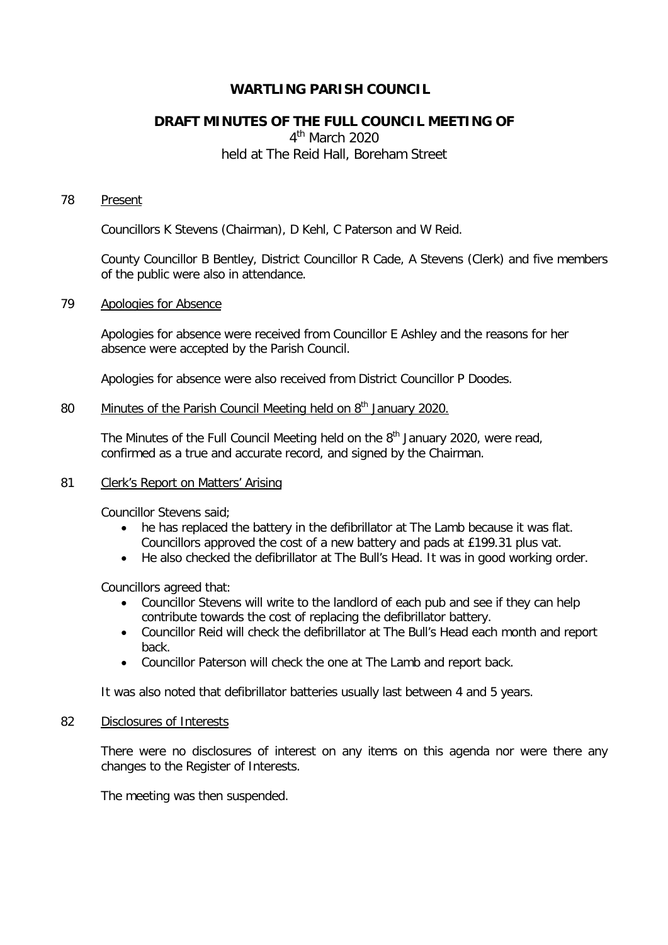# **WARTLING PARISH COUNCIL**

# **DRAFT MINUTES OF THE FULL COUNCIL MEETING OF**

4<sup>th</sup> March 2020 held at The Reid Hall, Boreham Street

## 78 Present

Councillors K Stevens (Chairman), D Kehl, C Paterson and W Reid.

County Councillor B Bentley, District Councillor R Cade, A Stevens (Clerk) and five members of the public were also in attendance.

# 79 Apologies for Absence

Apologies for absence were received from Councillor E Ashley and the reasons for her absence were accepted by the Parish Council.

Apologies for absence were also received from District Councillor P Doodes.

# 80 Minutes of the Parish Council Meeting held on 8<sup>th</sup> January 2020.

The Minutes of the Full Council Meeting held on the 8<sup>th</sup> January 2020, were read, confirmed as a true and accurate record, and signed by the Chairman.

# 81 Clerk's Report on Matters' Arising

Councillor Stevens said;

- he has replaced the battery in the defibrillator at The Lamb because it was flat. Councillors approved the cost of a new battery and pads at £199.31 plus vat.
- He also checked the defibrillator at The Bull's Head. It was in good working order.

Councillors agreed that:

- Councillor Stevens will write to the landlord of each pub and see if they can help contribute towards the cost of replacing the defibrillator battery.
- Councillor Reid will check the defibrillator at The Bull's Head each month and report back.
- Councillor Paterson will check the one at The Lamb and report back.

It was also noted that defibrillator batteries usually last between 4 and 5 years.

## 82 Disclosures of Interests

There were no disclosures of interest on any items on this agenda nor were there any changes to the Register of Interests.

The meeting was then suspended.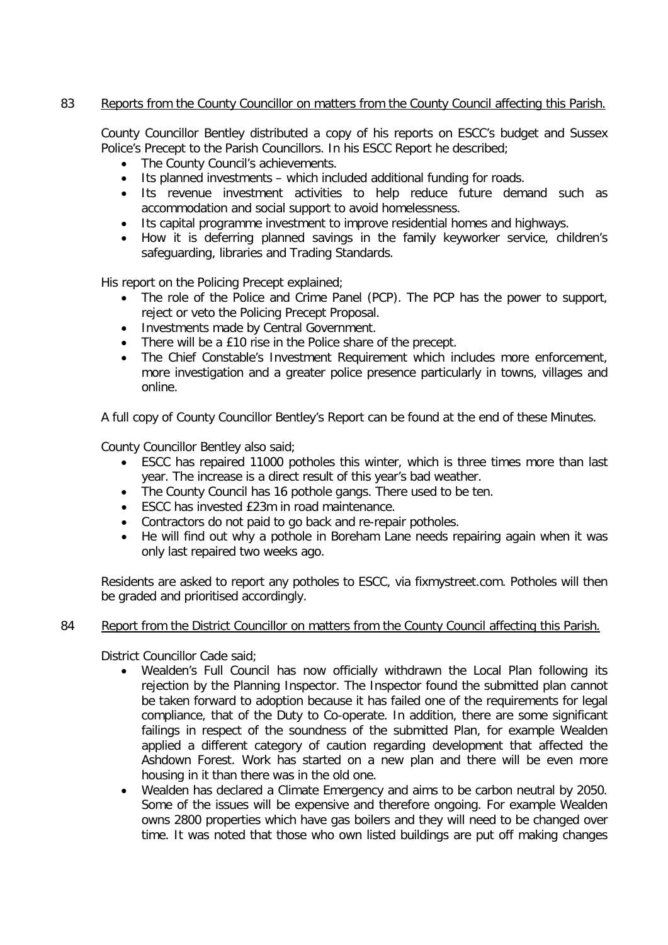# 83 Reports from the County Councillor on matters from the County Council affecting this Parish.

County Councillor Bentley distributed a copy of his reports on ESCC's budget and Sussex Police's Precept to the Parish Councillors. In his ESCC Report he described;

- The County Council's achievements.
- Its planned investments which included additional funding for roads.
- Its revenue investment activities to help reduce future demand such as accommodation and social support to avoid homelessness.
- Its capital programme investment to improve residential homes and highways.
- How it is deferring planned savings in the family keyworker service, children's safeguarding, libraries and Trading Standards.

His report on the Policing Precept explained;

- The role of the Police and Crime Panel (PCP). The PCP has the power to support, reject or veto the Policing Precept Proposal.
- Investments made by Central Government.
- There will be a £10 rise in the Police share of the precept.
- The Chief Constable's Investment Requirement which includes more enforcement, more investigation and a greater police presence particularly in towns, villages and online.

A full copy of County Councillor Bentley's Report can be found at the end of these Minutes.

County Councillor Bentley also said;

- ESCC has repaired 11000 potholes this winter, which is three times more than last year. The increase is a direct result of this year's bad weather.
- The County Council has 16 pothole gangs. There used to be ten.
- ESCC has invested £23m in road maintenance.
- Contractors do not paid to go back and re-repair potholes.
- He will find out why a pothole in Boreham Lane needs repairing again when it was only last repaired two weeks ago.

Residents are asked to report any potholes to ESCC, via fixmystreet.com. Potholes will then be graded and prioritised accordingly.

# 84 Report from the District Councillor on matters from the County Council affecting this Parish.

District Councillor Cade said;

- Wealden's Full Council has now officially withdrawn the Local Plan following its rejection by the Planning Inspector. The Inspector found the submitted plan cannot be taken forward to adoption because it has failed one of the requirements for legal compliance, that of the Duty to Co-operate. In addition, there are some significant failings in respect of the soundness of the submitted Plan, for example Wealden applied a different category of caution regarding development that affected the Ashdown Forest. Work has started on a new plan and there will be even more housing in it than there was in the old one.
- Wealden has declared a Climate Emergency and aims to be carbon neutral by 2050. Some of the issues will be expensive and therefore ongoing. For example Wealden owns 2800 properties which have gas boilers and they will need to be changed over time. It was noted that those who own listed buildings are put off making changes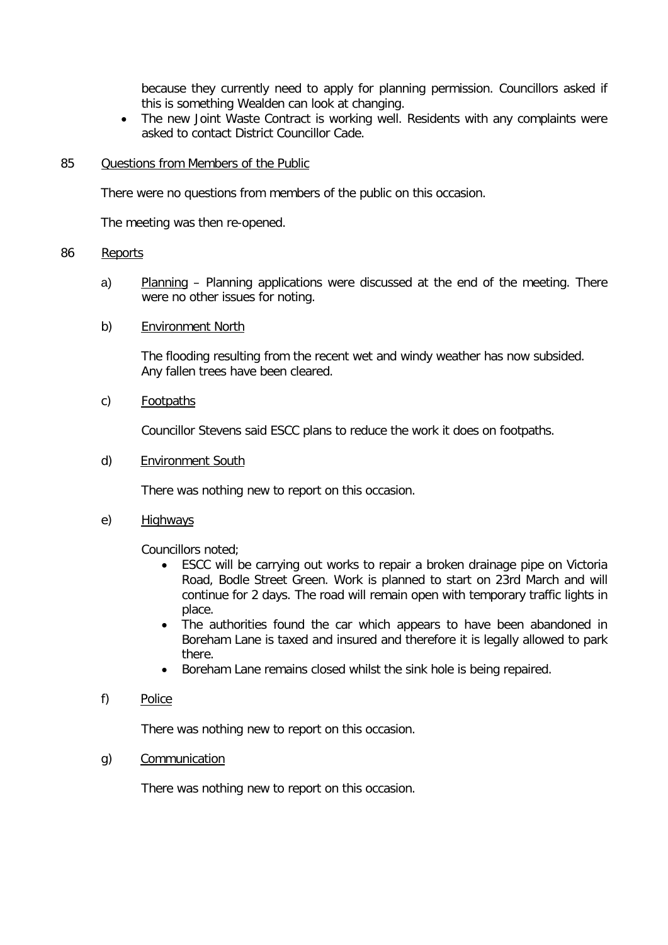because they currently need to apply for planning permission. Councillors asked if this is something Wealden can look at changing.

• The new Joint Waste Contract is working well. Residents with any complaints were asked to contact District Councillor Cade.

#### 85 Questions from Members of the Public

There were no questions from members of the public on this occasion.

The meeting was then re-opened.

# 86 Reports

a) Planning – Planning applications were discussed at the end of the meeting. There were no other issues for noting.

## b) Environment North

The flooding resulting from the recent wet and windy weather has now subsided. Any fallen trees have been cleared.

c) Footpaths

Councillor Stevens said ESCC plans to reduce the work it does on footpaths.

d) Environment South

There was nothing new to report on this occasion.

e) Highways

Councillors noted;

- ESCC will be carrying out works to repair a broken drainage pipe on Victoria Road, Bodle Street Green. Work is planned to start on 23rd March and will continue for 2 days. The road will remain open with temporary traffic lights in place.
- The authorities found the car which appears to have been abandoned in Boreham Lane is taxed and insured and therefore it is legally allowed to park there.
- Boreham Lane remains closed whilst the sink hole is being repaired.
- f) Police

There was nothing new to report on this occasion.

g) Communication

There was nothing new to report on this occasion.